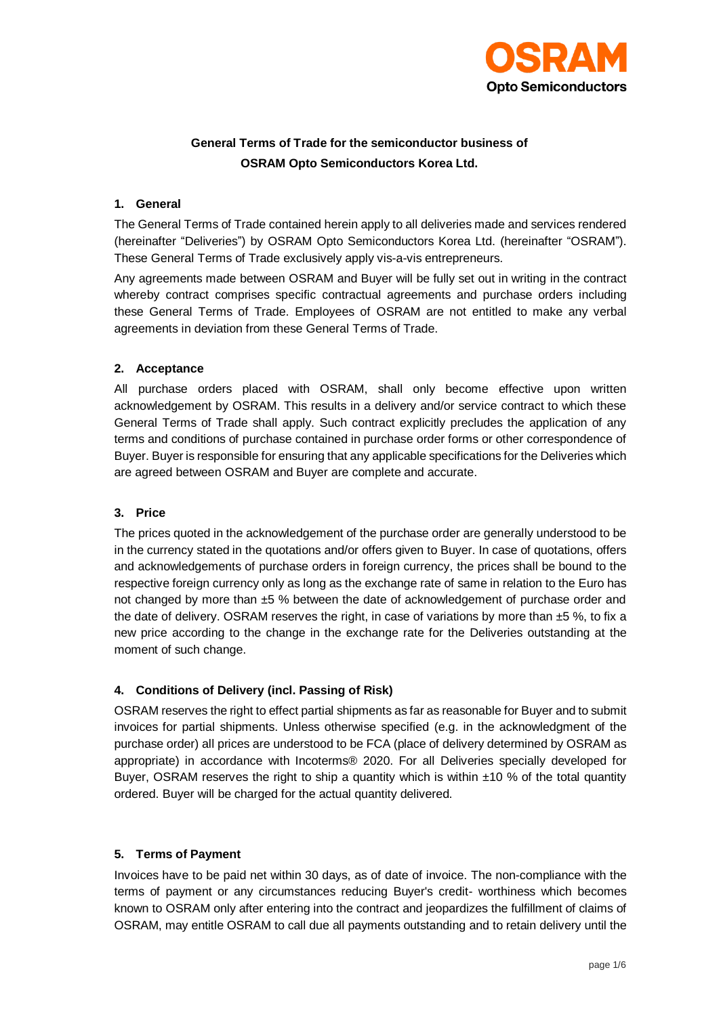

# **General Terms of Trade for the semiconductor business of OSRAM Opto Semiconductors Korea Ltd.**

#### **1. General**

The General Terms of Trade contained herein apply to all deliveries made and services rendered (hereinafter "Deliveries") by OSRAM Opto Semiconductors Korea Ltd. (hereinafter "OSRAM"). These General Terms of Trade exclusively apply vis-a-vis entrepreneurs.

Any agreements made between OSRAM and Buyer will be fully set out in writing in the contract whereby contract comprises specific contractual agreements and purchase orders including these General Terms of Trade. Employees of OSRAM are not entitled to make any verbal agreements in deviation from these General Terms of Trade.

## **2. Acceptance**

All purchase orders placed with OSRAM, shall only become effective upon written acknowledgement by OSRAM. This results in a delivery and/or service contract to which these General Terms of Trade shall apply. Such contract explicitly precludes the application of any terms and conditions of purchase contained in purchase order forms or other correspondence of Buyer. Buyer is responsible for ensuring that any applicable specifications for the Deliveries which are agreed between OSRAM and Buyer are complete and accurate.

# **3. Price**

The prices quoted in the acknowledgement of the purchase order are generally understood to be in the currency stated in the quotations and/or offers given to Buyer. In case of quotations, offers and acknowledgements of purchase orders in foreign currency, the prices shall be bound to the respective foreign currency only as long as the exchange rate of same in relation to the Euro has not changed by more than ±5 % between the date of acknowledgement of purchase order and the date of delivery. OSRAM reserves the right, in case of variations by more than  $\pm 5$  %, to fix a new price according to the change in the exchange rate for the Deliveries outstanding at the moment of such change.

# **4. Conditions of Delivery (incl. Passing of Risk)**

OSRAM reserves the right to effect partial shipments as far as reasonable for Buyer and to submit invoices for partial shipments. Unless otherwise specified (e.g. in the acknowledgment of the purchase order) all prices are understood to be FCA (place of delivery determined by OSRAM as appropriate) in accordance with Incoterms® 2020. For all Deliveries specially developed for Buyer, OSRAM reserves the right to ship a quantity which is within  $\pm 10$  % of the total quantity ordered. Buyer will be charged for the actual quantity delivered.

# **5. Terms of Payment**

Invoices have to be paid net within 30 days, as of date of invoice. The non-compliance with the terms of payment or any circumstances reducing Buyer's credit- worthiness which becomes known to OSRAM only after entering into the contract and jeopardizes the fulfillment of claims of OSRAM, may entitle OSRAM to call due all payments outstanding and to retain delivery until the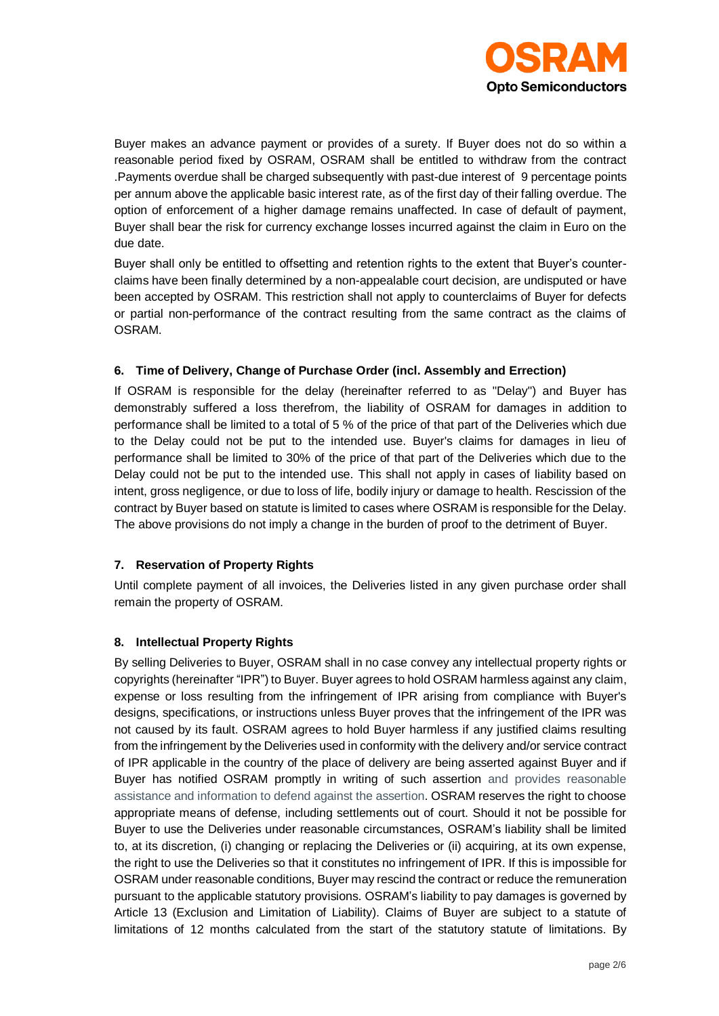

Buyer makes an advance payment or provides of a surety. If Buyer does not do so within a reasonable period fixed by OSRAM, OSRAM shall be entitled to withdraw from the contract .Payments overdue shall be charged subsequently with past-due interest of 9 percentage points per annum above the applicable basic interest rate, as of the first day of their falling overdue. The option of enforcement of a higher damage remains unaffected. In case of default of payment, Buyer shall bear the risk for currency exchange losses incurred against the claim in Euro on the due date.

Buyer shall only be entitled to offsetting and retention rights to the extent that Buyer's counterclaims have been finally determined by a non-appealable court decision, are undisputed or have been accepted by OSRAM. This restriction shall not apply to counterclaims of Buyer for defects or partial non-performance of the contract resulting from the same contract as the claims of OSRAM.

## **6. Time of Delivery, Change of Purchase Order (incl. Assembly and Errection)**

If OSRAM is responsible for the delay (hereinafter referred to as "Delay") and Buyer has demonstrably suffered a loss therefrom, the liability of OSRAM for damages in addition to performance shall be limited to a total of 5 % of the price of that part of the Deliveries which due to the Delay could not be put to the intended use. Buyer's claims for damages in lieu of performance shall be limited to 30% of the price of that part of the Deliveries which due to the Delay could not be put to the intended use. This shall not apply in cases of liability based on intent, gross negligence, or due to loss of life, bodily injury or damage to health. Rescission of the contract by Buyer based on statute is limited to cases where OSRAM is responsible for the Delay. The above provisions do not imply a change in the burden of proof to the detriment of Buyer.

#### **7. Reservation of Property Rights**

Until complete payment of all invoices, the Deliveries listed in any given purchase order shall remain the property of OSRAM.

#### **8. Intellectual Property Rights**

By selling Deliveries to Buyer, OSRAM shall in no case convey any intellectual property rights or copyrights (hereinafter "IPR") to Buyer. Buyer agrees to hold OSRAM harmless against any claim, expense or loss resulting from the infringement of IPR arising from compliance with Buyer's designs, specifications, or instructions unless Buyer proves that the infringement of the IPR was not caused by its fault. OSRAM agrees to hold Buyer harmless if any justified claims resulting from the infringement by the Deliveries used in conformity with the delivery and/or service contract of IPR applicable in the country of the place of delivery are being asserted against Buyer and if Buyer has notified OSRAM promptly in writing of such assertion and provides reasonable assistance and information to defend against the assertion. OSRAM reserves the right to choose appropriate means of defense, including settlements out of court. Should it not be possible for Buyer to use the Deliveries under reasonable circumstances, OSRAM's liability shall be limited to, at its discretion, (i) changing or replacing the Deliveries or (ii) acquiring, at its own expense, the right to use the Deliveries so that it constitutes no infringement of IPR. If this is impossible for OSRAM under reasonable conditions, Buyer may rescind the contract or reduce the remuneration pursuant to the applicable statutory provisions. OSRAM's liability to pay damages is governed by Article 13 (Exclusion and Limitation of Liability). Claims of Buyer are subject to a statute of limitations of 12 months calculated from the start of the statutory statute of limitations. By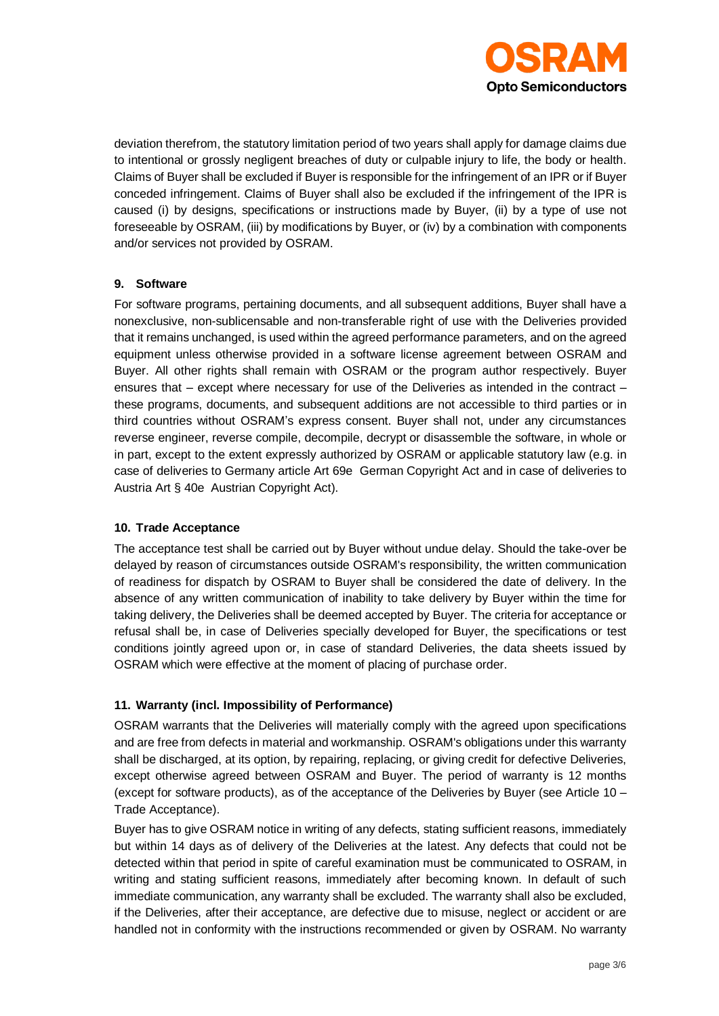

deviation therefrom, the statutory limitation period of two years shall apply for damage claims due to intentional or grossly negligent breaches of duty or culpable injury to life, the body or health. Claims of Buyer shall be excluded if Buyer is responsible for the infringement of an IPR or if Buyer conceded infringement. Claims of Buyer shall also be excluded if the infringement of the IPR is caused (i) by designs, specifications or instructions made by Buyer, (ii) by a type of use not foreseeable by OSRAM, (iii) by modifications by Buyer, or (iv) by a combination with components and/or services not provided by OSRAM.

## **9. Software**

For software programs, pertaining documents, and all subsequent additions, Buyer shall have a nonexclusive, non-sublicensable and non-transferable right of use with the Deliveries provided that it remains unchanged, is used within the agreed performance parameters, and on the agreed equipment unless otherwise provided in a software license agreement between OSRAM and Buyer. All other rights shall remain with OSRAM or the program author respectively. Buyer ensures that – except where necessary for use of the Deliveries as intended in the contract – these programs, documents, and subsequent additions are not accessible to third parties or in third countries without OSRAM's express consent. Buyer shall not, under any circumstances reverse engineer, reverse compile, decompile, decrypt or disassemble the software, in whole or in part, except to the extent expressly authorized by OSRAM or applicable statutory law (e.g. in case of deliveries to Germany article Art 69e German Copyright Act and in case of deliveries to Austria Art § 40e Austrian Copyright Act).

#### **10. Trade Acceptance**

The acceptance test shall be carried out by Buyer without undue delay. Should the take-over be delayed by reason of circumstances outside OSRAM's responsibility, the written communication of readiness for dispatch by OSRAM to Buyer shall be considered the date of delivery. In the absence of any written communication of inability to take delivery by Buyer within the time for taking delivery, the Deliveries shall be deemed accepted by Buyer. The criteria for acceptance or refusal shall be, in case of Deliveries specially developed for Buyer, the specifications or test conditions jointly agreed upon or, in case of standard Deliveries, the data sheets issued by OSRAM which were effective at the moment of placing of purchase order.

# **11. Warranty (incl. Impossibility of Performance)**

OSRAM warrants that the Deliveries will materially comply with the agreed upon specifications and are free from defects in material and workmanship. OSRAM's obligations under this warranty shall be discharged, at its option, by repairing, replacing, or giving credit for defective Deliveries, except otherwise agreed between OSRAM and Buyer. The period of warranty is 12 months (except for software products), as of the acceptance of the Deliveries by Buyer (see Article 10 – Trade Acceptance).

Buyer has to give OSRAM notice in writing of any defects, stating sufficient reasons, immediately but within 14 days as of delivery of the Deliveries at the latest. Any defects that could not be detected within that period in spite of careful examination must be communicated to OSRAM, in writing and stating sufficient reasons, immediately after becoming known. In default of such immediate communication, any warranty shall be excluded. The warranty shall also be excluded, if the Deliveries, after their acceptance, are defective due to misuse, neglect or accident or are handled not in conformity with the instructions recommended or given by OSRAM. No warranty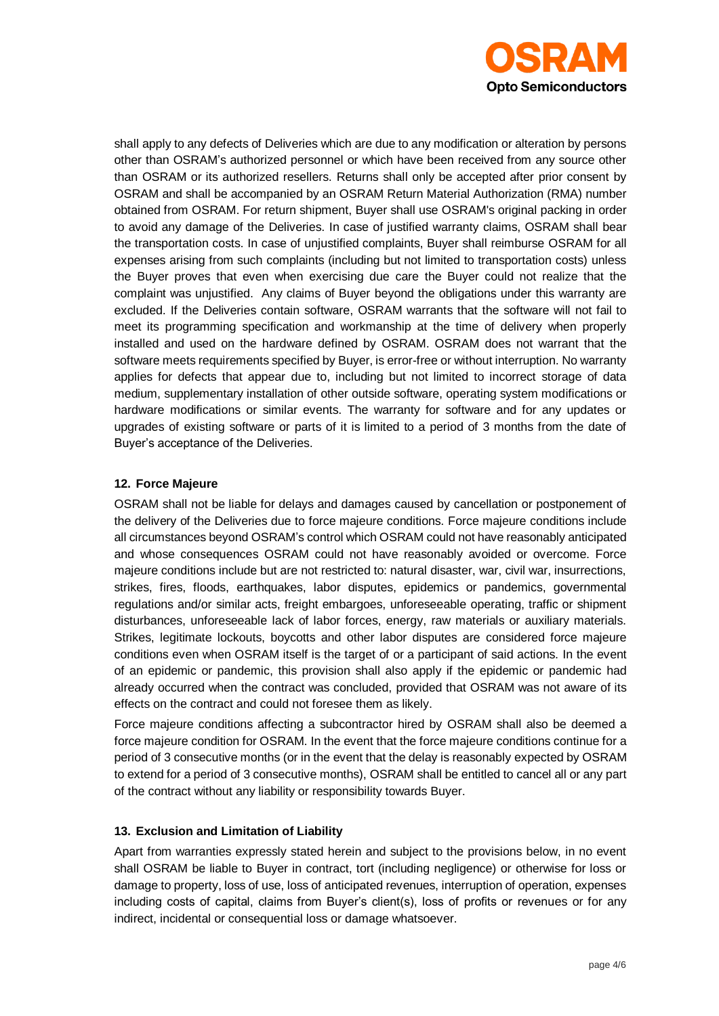

shall apply to any defects of Deliveries which are due to any modification or alteration by persons other than OSRAM's authorized personnel or which have been received from any source other than OSRAM or its authorized resellers. Returns shall only be accepted after prior consent by OSRAM and shall be accompanied by an OSRAM Return Material Authorization (RMA) number obtained from OSRAM. For return shipment, Buyer shall use OSRAM's original packing in order to avoid any damage of the Deliveries. In case of justified warranty claims, OSRAM shall bear the transportation costs. In case of unjustified complaints, Buyer shall reimburse OSRAM for all expenses arising from such complaints (including but not limited to transportation costs) unless the Buyer proves that even when exercising due care the Buyer could not realize that the complaint was unjustified. Any claims of Buyer beyond the obligations under this warranty are excluded. If the Deliveries contain software, OSRAM warrants that the software will not fail to meet its programming specification and workmanship at the time of delivery when properly installed and used on the hardware defined by OSRAM. OSRAM does not warrant that the software meets requirements specified by Buyer, is error-free or without interruption. No warranty applies for defects that appear due to, including but not limited to incorrect storage of data medium, supplementary installation of other outside software, operating system modifications or hardware modifications or similar events. The warranty for software and for any updates or upgrades of existing software or parts of it is limited to a period of 3 months from the date of Buyer's acceptance of the Deliveries.

## **12. Force Majeure**

OSRAM shall not be liable for delays and damages caused by cancellation or postponement of the delivery of the Deliveries due to force majeure conditions. Force majeure conditions include all circumstances beyond OSRAM's control which OSRAM could not have reasonably anticipated and whose consequences OSRAM could not have reasonably avoided or overcome. Force majeure conditions include but are not restricted to: natural disaster, war, civil war, insurrections, strikes, fires, floods, earthquakes, labor disputes, epidemics or pandemics, governmental regulations and/or similar acts, freight embargoes, unforeseeable operating, traffic or shipment disturbances, unforeseeable lack of labor forces, energy, raw materials or auxiliary materials. Strikes, legitimate lockouts, boycotts and other labor disputes are considered force majeure conditions even when OSRAM itself is the target of or a participant of said actions. In the event of an epidemic or pandemic, this provision shall also apply if the epidemic or pandemic had already occurred when the contract was concluded, provided that OSRAM was not aware of its effects on the contract and could not foresee them as likely.

Force majeure conditions affecting a subcontractor hired by OSRAM shall also be deemed a force majeure condition for OSRAM. In the event that the force majeure conditions continue for a period of 3 consecutive months (or in the event that the delay is reasonably expected by OSRAM to extend for a period of 3 consecutive months), OSRAM shall be entitled to cancel all or any part of the contract without any liability or responsibility towards Buyer.

#### **13. Exclusion and Limitation of Liability**

Apart from warranties expressly stated herein and subject to the provisions below, in no event shall OSRAM be liable to Buyer in contract, tort (including negligence) or otherwise for loss or damage to property, loss of use, loss of anticipated revenues, interruption of operation, expenses including costs of capital, claims from Buyer's client(s), loss of profits or revenues or for any indirect, incidental or consequential loss or damage whatsoever.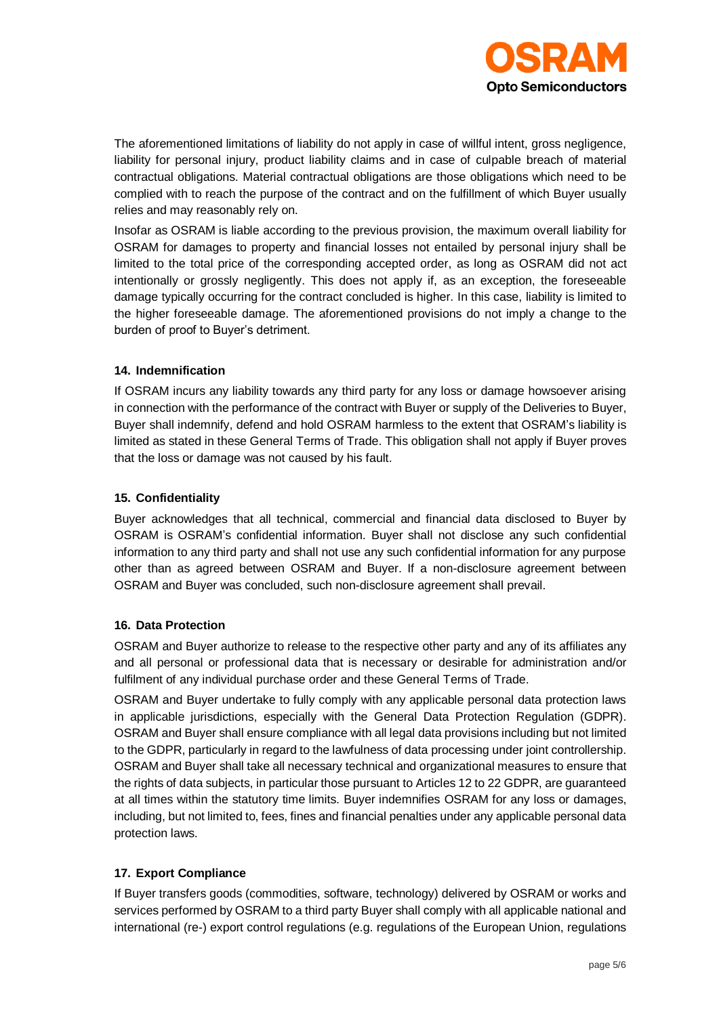

The aforementioned limitations of liability do not apply in case of willful intent, gross negligence, liability for personal injury, product liability claims and in case of culpable breach of material contractual obligations. Material contractual obligations are those obligations which need to be complied with to reach the purpose of the contract and on the fulfillment of which Buyer usually relies and may reasonably rely on.

Insofar as OSRAM is liable according to the previous provision, the maximum overall liability for OSRAM for damages to property and financial losses not entailed by personal injury shall be limited to the total price of the corresponding accepted order, as long as OSRAM did not act intentionally or grossly negligently. This does not apply if, as an exception, the foreseeable damage typically occurring for the contract concluded is higher. In this case, liability is limited to the higher foreseeable damage. The aforementioned provisions do not imply a change to the burden of proof to Buyer's detriment.

#### **14. Indemnification**

If OSRAM incurs any liability towards any third party for any loss or damage howsoever arising in connection with the performance of the contract with Buyer or supply of the Deliveries to Buyer, Buyer shall indemnify, defend and hold OSRAM harmless to the extent that OSRAM's liability is limited as stated in these General Terms of Trade. This obligation shall not apply if Buyer proves that the loss or damage was not caused by his fault.

## **15. Confidentiality**

Buyer acknowledges that all technical, commercial and financial data disclosed to Buyer by OSRAM is OSRAM's confidential information. Buyer shall not disclose any such confidential information to any third party and shall not use any such confidential information for any purpose other than as agreed between OSRAM and Buyer. If a non-disclosure agreement between OSRAM and Buyer was concluded, such non-disclosure agreement shall prevail.

# **16. Data Protection**

OSRAM and Buyer authorize to release to the respective other party and any of its affiliates any and all personal or professional data that is necessary or desirable for administration and/or fulfilment of any individual purchase order and these General Terms of Trade.

OSRAM and Buyer undertake to fully comply with any applicable personal data protection laws in applicable jurisdictions, especially with the General Data Protection Regulation (GDPR). OSRAM and Buyer shall ensure compliance with all legal data provisions including but not limited to the GDPR, particularly in regard to the lawfulness of data processing under joint controllership. OSRAM and Buyer shall take all necessary technical and organizational measures to ensure that the rights of data subjects, in particular those pursuant to Articles 12 to 22 GDPR, are guaranteed at all times within the statutory time limits. Buyer indemnifies OSRAM for any loss or damages, including, but not limited to, fees, fines and financial penalties under any applicable personal data protection laws.

# **17. Export Compliance**

If Buyer transfers goods (commodities, software, technology) delivered by OSRAM or works and services performed by OSRAM to a third party Buyer shall comply with all applicable national and international (re-) export control regulations (e.g. regulations of the European Union, regulations